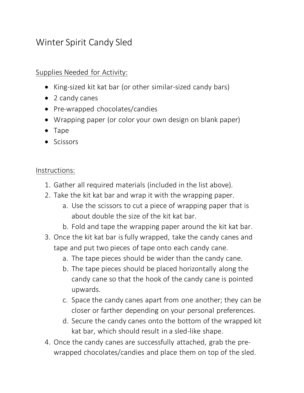## Winter Spirit Candy Sled

## Supplies Needed for Activity:

- King-sized kit kat bar (or other similar-sized candy bars)
- 2 candy canes
- Pre-wrapped chocolates/candies
- Wrapping paper (or color your own design on blank paper)
- Tape
- Scissors

## Instructions:

- 1. Gather all required materials (included in the list above).
- 2. Take the kit kat bar and wrap it with the wrapping paper.
	- a. Use the scissors to cut a piece of wrapping paper that is about double the size of the kit kat bar.
	- b. Fold and tape the wrapping paper around the kit kat bar.
- 3. Once the kit kat bar is fully wrapped, take the candy canes and tape and put two pieces of tape onto each candy cane.
	- a. The tape pieces should be wider than the candy cane.
	- b. The tape pieces should be placed horizontally along the candy cane so that the hook of the candy cane is pointed upwards.
	- c. Space the candy canes apart from one another; they can be closer or farther depending on your personal preferences.
	- d. Secure the candy canes onto the bottom of the wrapped kit kat bar, which should result in a sled-like shape.
- 4. Once the candy canes are successfully attached, grab the prewrapped chocolates/candies and place them on top of the sled.